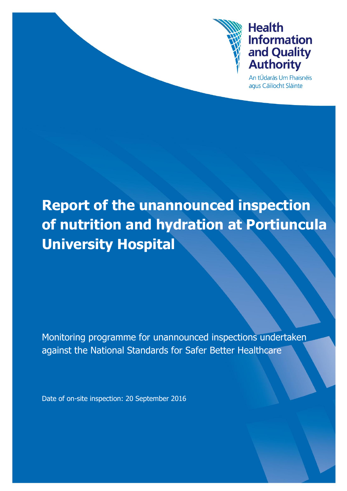

An tÚdarás Um Fhaisnéis agus Cáilíocht Sláinte

# **Report of the unannounced inspection of nutrition and hydration at Portiuncula University Hospital**

Monitoring programme for unannounced inspections undertaken against the National Standards for Safer Better Healthcare

Date of on-site inspection: 20 September 2016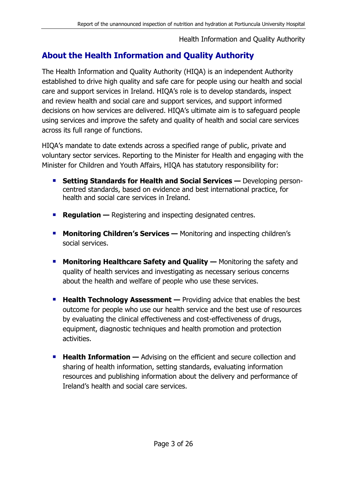# **About the Health Information and Quality Authority**

The Health Information and Quality Authority (HIQA) is an independent Authority established to drive high quality and safe care for people using our health and social care and support services in Ireland. HIQA's role is to develop standards, inspect and review health and social care and support services, and support informed decisions on how services are delivered. HIQA's ultimate aim is to safeguard people using services and improve the safety and quality of health and social care services across its full range of functions.

HIQA's mandate to date extends across a specified range of public, private and voluntary sector services. Reporting to the Minister for Health and engaging with the Minister for Children and Youth Affairs, HIQA has statutory responsibility for:

- **Setting Standards for Health and Social Services —** Developing personcentred standards, based on evidence and best international practice, for health and social care services in Ireland.
- **Regulation** Registering and inspecting designated centres.
- **Monitoring Children's Services —** Monitoring and inspecting children's social services.
- **Monitoring Healthcare Safety and Quality —** Monitoring the safety and quality of health services and investigating as necessary serious concerns about the health and welfare of people who use these services.
- **Health Technology Assessment —** Providing advice that enables the best outcome for people who use our health service and the best use of resources by evaluating the clinical effectiveness and cost-effectiveness of drugs, equipment, diagnostic techniques and health promotion and protection activities.
- **Health Information** Advising on the efficient and secure collection and sharing of health information, setting standards, evaluating information resources and publishing information about the delivery and performance of Ireland's health and social care services.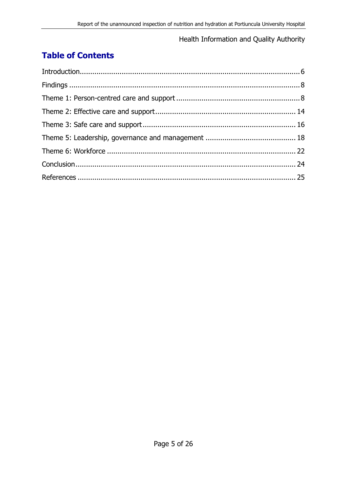# **Table of Contents**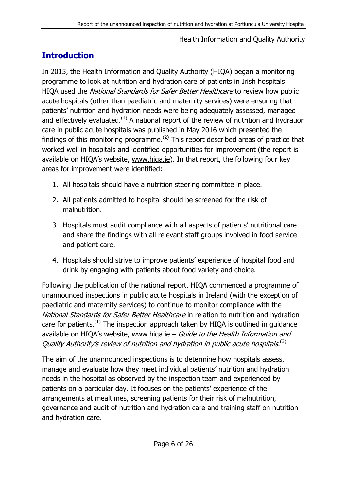# <span id="page-5-0"></span>**Introduction**

In 2015, the Health Information and Quality Authority (HIQA) began a monitoring programme to look at nutrition and hydration care of patients in Irish hospitals. HIQA used the National Standards for Safer Better Healthcare to review how public acute hospitals (other than paediatric and maternity services) were ensuring that patients' nutrition and hydration needs were being adequately assessed, managed and effectively evaluated.<sup>(1)</sup> A national report of the review of nutrition and hydration care in public acute hospitals was published in May 2016 which presented the findings of this monitoring programme.<sup>(2)</sup> This report described areas of practice that worked well in hospitals and identified opportunities for improvement (the report is available on HIQA's website, www.higa.ie). In that report, the following four key areas for improvement were identified:

- 1. All hospitals should have a nutrition steering committee in place.
- 2. All patients admitted to hospital should be screened for the risk of malnutrition.
- 3. Hospitals must audit compliance with all aspects of patients' nutritional care and share the findings with all relevant staff groups involved in food service and patient care.
- 4. Hospitals should strive to improve patients' experience of hospital food and drink by engaging with patients about food variety and choice.

Following the publication of the national report, HIQA commenced a programme of unannounced inspections in public acute hospitals in Ireland (with the exception of paediatric and maternity services) to continue to monitor compliance with the National Standards for Safer Better Healthcare in relation to nutrition and hydration care for patients.<sup>(1)</sup> The inspection approach taken by HIQA is outlined in guidance available on HIQA's website, www.hiqa.ie  $-$  Guide to the Health Information and Quality Authority's review of nutrition and hydration in public acute hospitals.<sup>(3)</sup>

The aim of the unannounced inspections is to determine how hospitals assess, manage and evaluate how they meet individual patients' nutrition and hydration needs in the hospital as observed by the inspection team and experienced by patients on a particular day. It focuses on the patients' experience of the arrangements at mealtimes, screening patients for their risk of malnutrition, governance and audit of nutrition and hydration care and training staff on nutrition and hydration care.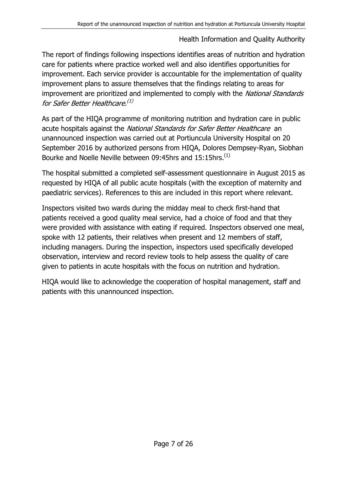The report of findings following inspections identifies areas of nutrition and hydration care for patients where practice worked well and also identifies opportunities for improvement. Each service provider is accountable for the implementation of quality improvement plans to assure themselves that the findings relating to areas for improvement are prioritized and implemented to comply with the National Standards for Safer Better Healthcare.<sup>(1)</sup>

As part of the HIQA programme of monitoring nutrition and hydration care in public acute hospitals against the National Standards for Safer Better Healthcare an unannounced inspection was carried out at Portiuncula University Hospital on 20 September 2016 by authorized persons from HIQA, Dolores Dempsey-Ryan, Siobhan Bourke and Noelle Neville between 09:45hrs and 15:15hrs.<sup>(1)</sup>

The hospital submitted a completed self-assessment questionnaire in August 2015 as requested by HIQA of all public acute hospitals (with the exception of maternity and paediatric services). References to this are included in this report where relevant.

Inspectors visited two wards during the midday meal to check first-hand that patients received a good quality meal service, had a choice of food and that they were provided with assistance with eating if required. Inspectors observed one meal, spoke with 12 patients, their relatives when present and 12 members of staff, including managers. During the inspection, inspectors used specifically developed observation, interview and record review tools to help assess the quality of care given to patients in acute hospitals with the focus on nutrition and hydration.

<span id="page-6-0"></span>HIQA would like to acknowledge the cooperation of hospital management, staff and patients with this unannounced inspection.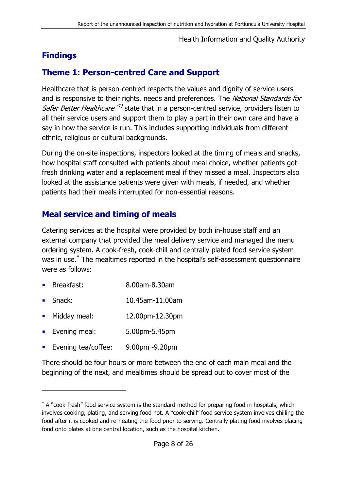# **Findings**

## <span id="page-7-0"></span>**Theme 1: Person-centred Care and Support**

Healthcare that is person-centred respects the values and dignity of service users and is responsive to their rights, needs and preferences. The National Standards for Safer Better Healthcare<sup>(1)</sup> state that in a person-centred service, providers listen to all their service users and support them to play a part in their own care and have a say in how the service is run. This includes supporting individuals from different ethnic, religious or cultural backgrounds.

During the on-site inspections, inspectors looked at the timing of meals and snacks, how hospital staff consulted with patients about meal choice, whether patients got fresh drinking water and a replacement meal if they missed a meal. Inspectors also looked at the assistance patients were given with meals, if needed, and whether patients had their meals interrupted for non-essential reasons.

### **Meal service and timing of meals**

Catering services at the hospital were provided by both in-house staff and an external company that provided the meal delivery service and managed the menu ordering system. A cook-fresh, cook-chill and centrally plated food service system was in use. \* The mealtimes reported in the hospital's self-assessment questionnaire were as follows:

- Breakfast: 8.00am-8.30am
- Snack: 10.45am-11.00am
- Midday meal: 12.00pm-12.30pm
- **Evening meal:** 5.00pm-5.45pm
- **Evening tea/coffee:** 9.00pm -9.20pm

-

There should be four hours or more between the end of each main meal and the beginning of the next, and mealtimes should be spread out to cover most of the

<sup>\*</sup> A "cook-fresh" food service system is the standard method for preparing food in hospitals, which involves cooking, plating, and serving food hot. A "cook-chill" food service system involves chilling the food after it is cooked and re-heating the food prior to serving. Centrally plating food involves placing food onto plates at one central location, such as the hospital kitchen.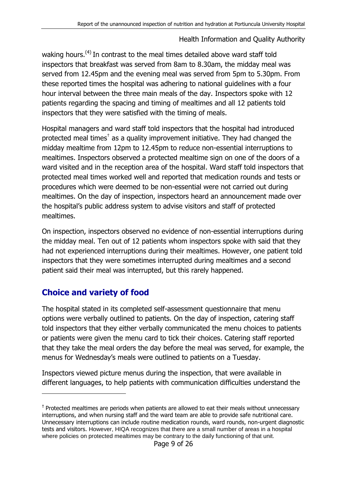waking hours.<sup>(4)</sup> In contrast to the meal times detailed above ward staff told inspectors that breakfast was served from 8am to 8.30am, the midday meal was served from 12.45pm and the evening meal was served from 5pm to 5.30pm. From these reported times the hospital was adhering to national guidelines with a four hour interval between the three main meals of the day. Inspectors spoke with 12 patients regarding the spacing and timing of mealtimes and all 12 patients told inspectors that they were satisfied with the timing of meals.

Hospital managers and ward staff told inspectors that the hospital had introduced protected meal times<sup>†</sup> as a quality improvement initiative. They had changed the midday mealtime from 12pm to 12.45pm to reduce non-essential interruptions to mealtimes. Inspectors observed a protected mealtime sign on one of the doors of a ward visited and in the reception area of the hospital. Ward staff told inspectors that protected meal times worked well and reported that medication rounds and tests or procedures which were deemed to be non-essential were not carried out during mealtimes. On the day of inspection, inspectors heard an announcement made over the hospital's public address system to advise visitors and staff of protected mealtimes.

On inspection, inspectors observed no evidence of non-essential interruptions during the midday meal. Ten out of 12 patients whom inspectors spoke with said that they had not experienced interruptions during their mealtimes. However, one patient told inspectors that they were sometimes interrupted during mealtimes and a second patient said their meal was interrupted, but this rarely happened.

# **Choice and variety of food**

-

The hospital stated in its completed self-assessment questionnaire that menu options were verbally outlined to patients. On the day of inspection, catering staff told inspectors that they either verbally communicated the menu choices to patients or patients were given the menu card to tick their choices. Catering staff reported that they take the meal orders the day before the meal was served, for example, the menus for Wednesday's meals were outlined to patients on a Tuesday.

Inspectors viewed picture menus during the inspection, that were available in different languages, to help patients with communication difficulties understand the

<sup>&</sup>lt;sup>†</sup> Protected mealtimes are periods when patients are allowed to eat their meals without unnecessary interruptions, and when nursing staff and the ward team are able to provide safe nutritional care. Unnecessary interruptions can include routine medication rounds, ward rounds, non-urgent diagnostic tests and visitors. However, HIQA recognizes that there are a small number of areas in a hospital where policies on protected mealtimes may be contrary to the daily functioning of that unit.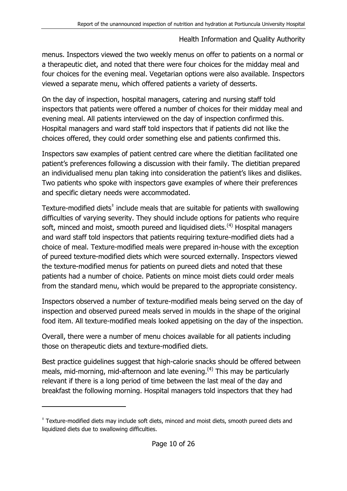menus. Inspectors viewed the two weekly menus on offer to patients on a normal or a therapeutic diet, and noted that there were four choices for the midday meal and four choices for the evening meal. Vegetarian options were also available. Inspectors viewed a separate menu, which offered patients a variety of desserts.

On the day of inspection, hospital managers, catering and nursing staff told inspectors that patients were offered a number of choices for their midday meal and evening meal. All patients interviewed on the day of inspection confirmed this. Hospital managers and ward staff told inspectors that if patients did not like the choices offered, they could order something else and patients confirmed this.

Inspectors saw examples of patient centred care where the dietitian facilitated one patient's preferences following a discussion with their family. The dietitian prepared an individualised menu plan taking into consideration the patient's likes and dislikes. Two patients who spoke with inspectors gave examples of where their preferences and specific dietary needs were accommodated.

Texture-modified diets $^{\ddagger}$  include meals that are suitable for patients with swallowing difficulties of varying severity. They should include options for patients who require soft, minced and moist, smooth pureed and liquidised diets.<sup>(4)</sup> Hospital managers and ward staff told inspectors that patients requiring texture-modified diets had a choice of meal. Texture-modified meals were prepared in-house with the exception of pureed texture-modified diets which were sourced externally. Inspectors viewed the texture-modified menus for patients on pureed diets and noted that these patients had a number of choice. Patients on mince moist diets could order meals from the standard menu, which would be prepared to the appropriate consistency.

Inspectors observed a number of texture-modified meals being served on the day of inspection and observed pureed meals served in moulds in the shape of the original food item. All texture-modified meals looked appetising on the day of the inspection.

Overall, there were a number of menu choices available for all patients including those on therapeutic diets and texture-modified diets.

Best practice guidelines suggest that high-calorie snacks should be offered between meals, mid-morning, mid-afternoon and late evening.<sup> $(4)$ </sup> This may be particularly relevant if there is a long period of time between the last meal of the day and breakfast the following morning. Hospital managers told inspectors that they had

-

<sup>‡</sup> Texture-modified diets may include soft diets, minced and moist diets, smooth pureed diets and liquidized diets due to swallowing difficulties.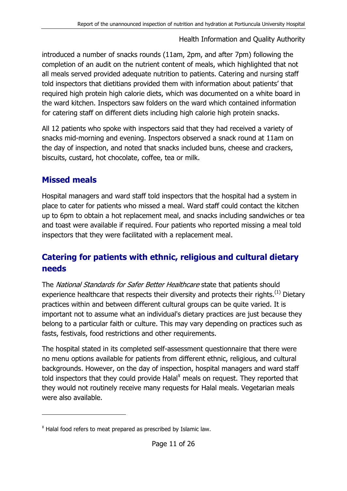introduced a number of snacks rounds (11am, 2pm, and after 7pm) following the completion of an audit on the nutrient content of meals, which highlighted that not all meals served provided adequate nutrition to patients. Catering and nursing staff told inspectors that dietitians provided them with information about patients' that required high protein high calorie diets, which was documented on a white board in the ward kitchen. Inspectors saw folders on the ward which contained information for catering staff on different diets including high calorie high protein snacks.

All 12 patients who spoke with inspectors said that they had received a variety of snacks mid-morning and evening. Inspectors observed a snack round at 11am on the day of inspection, and noted that snacks included buns, cheese and crackers, biscuits, custard, hot chocolate, coffee, tea or milk.

## **Missed meals**

-

Hospital managers and ward staff told inspectors that the hospital had a system in place to cater for patients who missed a meal. Ward staff could contact the kitchen up to 6pm to obtain a hot replacement meal, and snacks including sandwiches or tea and toast were available if required. Four patients who reported missing a meal told inspectors that they were facilitated with a replacement meal.

# **Catering for patients with ethnic, religious and cultural dietary needs**

The National Standards for Safer Better Healthcare state that patients should experience healthcare that respects their diversity and protects their rights.<sup>(1)</sup> Dietary practices within and between different cultural groups can be quite varied. It is important not to assume what an individual's dietary practices are just because they belong to a particular faith or culture. This may vary depending on practices such as fasts, festivals, food restrictions and other requirements.

The hospital stated in its completed self-assessment questionnaire that there were no menu options available for patients from different ethnic, religious, and cultural backgrounds. However, on the day of inspection, hospital managers and ward staff told inspectors that they could provide Halal $<sup>Y</sup>$  meals on request. They reported that</sup> they would not routinely receive many requests for Halal meals. Vegetarian meals were also available.

<sup>¥</sup> Halal food refers to meat prepared as prescribed by Islamic law.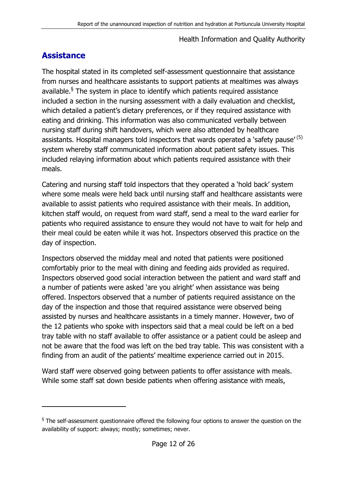## **Assistance**

-

The hospital stated in its completed self-assessment questionnaire that assistance from nurses and healthcare assistants to support patients at mealtimes was always available.<sup>§</sup> The system in place to identify which patients required assistance included a section in the nursing assessment with a daily evaluation and checklist, which detailed a patient's dietary preferences, or if they required assistance with eating and drinking. This information was also communicated verbally between nursing staff during shift handovers, which were also attended by healthcare assistants. Hospital managers told inspectors that wards operated a 'safety pause' (5) system whereby staff communicated information about patient safety issues. This included relaying information about which patients required assistance with their meals.

Catering and nursing staff told inspectors that they operated a 'hold back' system where some meals were held back until nursing staff and healthcare assistants were available to assist patients who required assistance with their meals. In addition, kitchen staff would, on request from ward staff, send a meal to the ward earlier for patients who required assistance to ensure they would not have to wait for help and their meal could be eaten while it was hot. Inspectors observed this practice on the day of inspection.

Inspectors observed the midday meal and noted that patients were positioned comfortably prior to the meal with dining and feeding aids provided as required. Inspectors observed good social interaction between the patient and ward staff and a number of patients were asked 'are you alright' when assistance was being offered. Inspectors observed that a number of patients required assistance on the day of the inspection and those that required assistance were observed being assisted by nurses and healthcare assistants in a timely manner. However, two of the 12 patients who spoke with inspectors said that a meal could be left on a bed tray table with no staff available to offer assistance or a patient could be asleep and not be aware that the food was left on the bed tray table. This was consistent with a finding from an audit of the patients' mealtime experience carried out in 2015.

Ward staff were observed going between patients to offer assistance with meals. While some staff sat down beside patients when offering asistance with meals,

 $\frac{1}{3}$  The self-assessment questionnaire offered the following four options to answer the question on the availability of support: always; mostly; sometimes; never.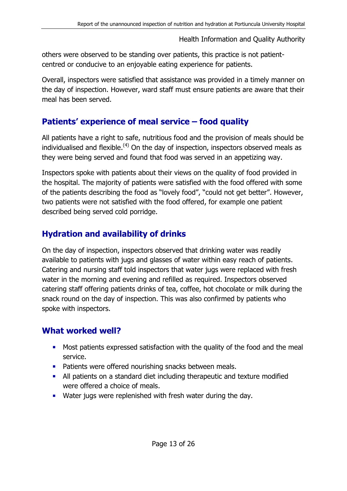others were observed to be standing over patients, this practice is not patientcentred or conducive to an enjoyable eating experience for patients.

Overall, inspectors were satisfied that assistance was provided in a timely manner on the day of inspection. However, ward staff must ensure patients are aware that their meal has been served.

## **Patients' experience of meal service – food quality**

All patients have a right to safe, nutritious food and the provision of meals should be individualised and flexible.<sup>(4)</sup> On the day of inspection, inspectors observed meals as they were being served and found that food was served in an appetizing way.

Inspectors spoke with patients about their views on the quality of food provided in the hospital. The majority of patients were satisfied with the food offered with some of the patients describing the food as "lovely food", "could not get better". However, two patients were not satisfied with the food offered, for example one patient described being served cold porridge.

# **Hydration and availability of drinks**

On the day of inspection, inspectors observed that drinking water was readily available to patients with jugs and glasses of water within easy reach of patients. Catering and nursing staff told inspectors that water jugs were replaced with fresh water in the morning and evening and refilled as required. Inspectors observed catering staff offering patients drinks of tea, coffee, hot chocolate or milk during the snack round on the day of inspection. This was also confirmed by patients who spoke with inspectors.

# **What worked well?**

- **Most patients expressed satisfaction with the quality of the food and the meal** service.
- **Patients were offered nourishing snacks between meals.**
- All patients on a standard diet including therapeutic and texture modified were offered a choice of meals.
- <span id="page-12-0"></span>**Water jugs were replenished with fresh water during the day.**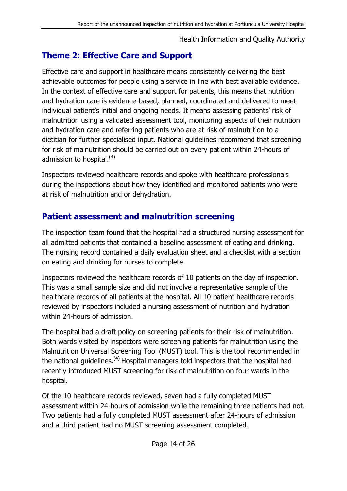# **Theme 2: Effective Care and Support**

Effective care and support in healthcare means consistently delivering the best achievable outcomes for people using a service in line with best available evidence. In the context of effective care and support for patients, this means that nutrition and hydration care is evidence-based, planned, coordinated and delivered to meet individual patient's initial and ongoing needs. It means assessing patients' risk of malnutrition using a validated assessment tool, monitoring aspects of their nutrition and hydration care and referring patients who are at risk of malnutrition to a dietitian for further specialised input. National guidelines recommend that screening for risk of malnutrition should be carried out on every patient within 24-hours of admission to hospital. $(4)$ 

Inspectors reviewed healthcare records and spoke with healthcare professionals during the inspections about how they identified and monitored patients who were at risk of malnutrition and or dehydration.

# **Patient assessment and malnutrition screening**

The inspection team found that the hospital had a structured nursing assessment for all admitted patients that contained a baseline assessment of eating and drinking. The nursing record contained a daily evaluation sheet and a checklist with a section on eating and drinking for nurses to complete.

Inspectors reviewed the healthcare records of 10 patients on the day of inspection. This was a small sample size and did not involve a representative sample of the healthcare records of all patients at the hospital. All 10 patient healthcare records reviewed by inspectors included a nursing assessment of nutrition and hydration within 24-hours of admission.

The hospital had a draft policy on screening patients for their risk of malnutrition. Both wards visited by inspectors were screening patients for malnutrition using the Malnutrition Universal Screening Tool (MUST) tool. This is the tool recommended in the national guidelines.<sup>(4)</sup> Hospital managers told inspectors that the hospital had recently introduced MUST screening for risk of malnutrition on four wards in the hospital.

Of the 10 healthcare records reviewed, seven had a fully completed MUST assessment within 24-hours of admission while the remaining three patients had not. Two patients had a fully completed MUST assessment after 24-hours of admission and a third patient had no MUST screening assessment completed.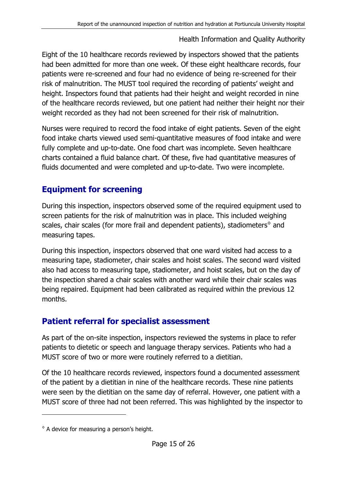Eight of the 10 healthcare records reviewed by inspectors showed that the patients had been admitted for more than one week. Of these eight healthcare records, four patients were re-screened and four had no evidence of being re-screened for their risk of malnutrition. The MUST tool required the recording of patients' weight and height. Inspectors found that patients had their height and weight recorded in nine of the healthcare records reviewed, but one patient had neither their height nor their weight recorded as they had not been screened for their risk of malnutrition.

Nurses were required to record the food intake of eight patients. Seven of the eight food intake charts viewed used semi-quantitative measures of food intake and were fully complete and up-to-date. One food chart was incomplete. Seven healthcare charts contained a fluid balance chart. Of these, five had quantitative measures of fluids documented and were completed and up-to-date. Two were incomplete.

# **Equipment for screening**

During this inspection, inspectors observed some of the required equipment used to screen patients for the risk of malnutrition was in place. This included weighing scales, chair scales (for more frail and dependent patients), stadiometers $\textdegree$  and measuring tapes.

During this inspection, inspectors observed that one ward visited had access to a measuring tape, stadiometer, chair scales and hoist scales. The second ward visited also had access to measuring tape, stadiometer, and hoist scales, but on the day of the inspection shared a chair scales with another ward while their chair scales was being repaired. Equipment had been calibrated as required within the previous 12 months.

# **Patient referral for specialist assessment**

As part of the on-site inspection, inspectors reviewed the systems in place to refer patients to dietetic or speech and language therapy services. Patients who had a MUST score of two or more were routinely referred to a dietitian.

Of the 10 healthcare records reviewed, inspectors found a documented assessment of the patient by a dietitian in nine of the healthcare records. These nine patients were seen by the dietitian on the same day of referral. However, one patient with a MUST score of three had not been referred. This was highlighted by the inspector to

-

 $\degree$  A device for measuring a person's height.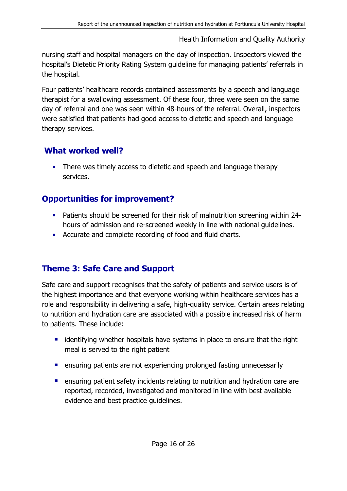nursing staff and hospital managers on the day of inspection. Inspectors viewed the hospital's Dietetic Priority Rating System guideline for managing patients' referrals in the hospital.

Four patients' healthcare records contained assessments by a speech and language therapist for a swallowing assessment. Of these four, three were seen on the same day of referral and one was seen within 48-hours of the referral. Overall, inspectors were satisfied that patients had good access to dietetic and speech and language therapy services.

## **What worked well?**

**There was timely access to dietetic and speech and language therapy** services.

# **Opportunities for improvement?**

- Patients should be screened for their risk of malnutrition screening within 24 hours of admission and re-screened weekly in line with national guidelines.
- **Accurate and complete recording of food and fluid charts.**

# <span id="page-15-0"></span>**Theme 3: Safe Care and Support**

Safe care and support recognises that the safety of patients and service users is of the highest importance and that everyone working within healthcare services has a role and responsibility in delivering a safe, high-quality service. Certain areas relating to nutrition and hydration care are associated with a possible increased risk of harm to patients. These include:

- **EXT** identifying whether hospitals have systems in place to ensure that the right meal is served to the right patient
- **E** ensuring patients are not experiencing prolonged fasting unnecessarily
- **EXT** ensuring patient safety incidents relating to nutrition and hydration care are reported, recorded, investigated and monitored in line with best available evidence and best practice guidelines.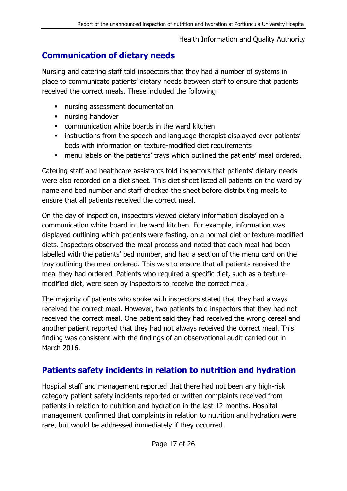# **Communication of dietary needs**

Nursing and catering staff told inspectors that they had a number of systems in place to communicate patients' dietary needs between staff to ensure that patients received the correct meals. These included the following:

- nursing assessment documentation
- **nursing handover**
- communication white boards in the ward kitchen
- **EXEDEE** instructions from the speech and language therapist displayed over patients' beds with information on texture-modified diet requirements
- menu labels on the patients' trays which outlined the patients' meal ordered.

Catering staff and healthcare assistants told inspectors that patients' dietary needs were also recorded on a diet sheet. This diet sheet listed all patients on the ward by name and bed number and staff checked the sheet before distributing meals to ensure that all patients received the correct meal.

On the day of inspection, inspectors viewed dietary information displayed on a communication white board in the ward kitchen. For example, information was displayed outlining which patients were fasting, on a normal diet or texture-modified diets. Inspectors observed the meal process and noted that each meal had been labelled with the patients' bed number, and had a section of the menu card on the tray outlining the meal ordered. This was to ensure that all patients received the meal they had ordered. Patients who required a specific diet, such as a texturemodified diet, were seen by inspectors to receive the correct meal.

The majority of patients who spoke with inspectors stated that they had always received the correct meal. However, two patients told inspectors that they had not received the correct meal. One patient said they had received the wrong cereal and another patient reported that they had not always received the correct meal. This finding was consistent with the findings of an observational audit carried out in March 2016.

# **Patients safety incidents in relation to nutrition and hydration**

Hospital staff and management reported that there had not been any high-risk category patient safety incidents reported or written complaints received from patients in relation to nutrition and hydration in the last 12 months. Hospital management confirmed that complaints in relation to nutrition and hydration were rare, but would be addressed immediately if they occurred.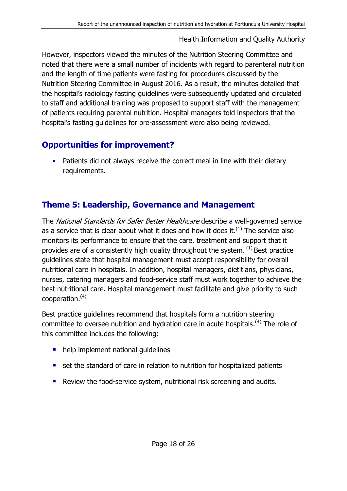However, inspectors viewed the minutes of the Nutrition Steering Committee and noted that there were a small number of incidents with regard to parenteral nutrition and the length of time patients were fasting for procedures discussed by the Nutrition Steering Committee in August 2016. As a result, the minutes detailed that the hospital's radiology fasting guidelines were subsequently updated and circulated to staff and additional training was proposed to support staff with the management of patients requiring parental nutrition. Hospital managers told inspectors that the hospital's fasting guidelines for pre-assessment were also being reviewed.

# <span id="page-17-0"></span>**Opportunities for improvement?**

**Patients did not always receive the correct meal in line with their dietary** requirements.

## **Theme 5: Leadership, Governance and Management**

The National Standards for Safer Better Healthcare describe a well-governed service as a service that is clear about what it does and how it does it.<sup>(1)</sup> The service also monitors its performance to ensure that the care, treatment and support that it provides are of a consistently high quality throughout the system.  $^{(1)}$  Best practice guidelines state that hospital management must accept responsibility for overall nutritional care in hospitals. In addition, hospital managers, dietitians, physicians, nurses, catering managers and food-service staff must work together to achieve the best nutritional care. Hospital management must facilitate and give priority to such  $cooperation.<sup>(4)</sup>$ 

Best practice guidelines recommend that hospitals form a nutrition steering committee to oversee nutrition and hydration care in acute hospitals.<sup> $(4)$ </sup> The role of this committee includes the following:

- help implement national quidelines
- set the standard of care in relation to nutrition for hospitalized patients
- Review the food-service system, nutritional risk screening and audits.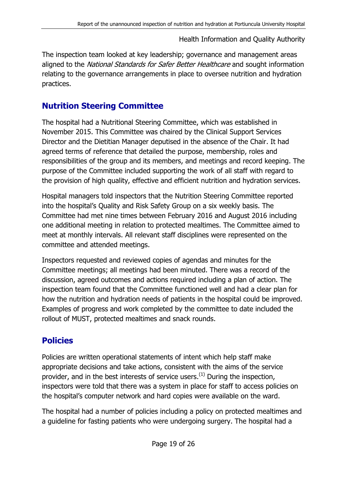The inspection team looked at key leadership; governance and management areas aligned to the National Standards for Safer Better Healthcare and sought information relating to the governance arrangements in place to oversee nutrition and hydration practices.

# **Nutrition Steering Committee**

The hospital had a Nutritional Steering Committee, which was established in November 2015. This Committee was chaired by the Clinical Support Services Director and the Dietitian Manager deputised in the absence of the Chair. It had agreed terms of reference that detailed the purpose, membership, roles and responsibilities of the group and its members, and meetings and record keeping. The purpose of the Committee included supporting the work of all staff with regard to the provision of high quality, effective and efficient nutrition and hydration services.

Hospital managers told inspectors that the Nutrition Steering Committee reported into the hospital's Quality and Risk Safety Group on a six weekly basis. The Committee had met nine times between February 2016 and August 2016 including one additional meeting in relation to protected mealtimes. The Committee aimed to meet at monthly intervals. All relevant staff disciplines were represented on the committee and attended meetings.

Inspectors requested and reviewed copies of agendas and minutes for the Committee meetings; all meetings had been minuted. There was a record of the discussion, agreed outcomes and actions required including a plan of action. The inspection team found that the Committee functioned well and had a clear plan for how the nutrition and hydration needs of patients in the hospital could be improved. Examples of progress and work completed by the committee to date included the rollout of MUST, protected mealtimes and snack rounds.

# **Policies**

Policies are written operational statements of intent which help staff make appropriate decisions and take actions, consistent with the aims of the service provider, and in the best interests of service users.<sup>(1)</sup> During the inspection, inspectors were told that there was a system in place for staff to access policies on the hospital's computer network and hard copies were available on the ward.

The hospital had a number of policies including a policy on protected mealtimes and a guideline for fasting patients who were undergoing surgery. The hospital had a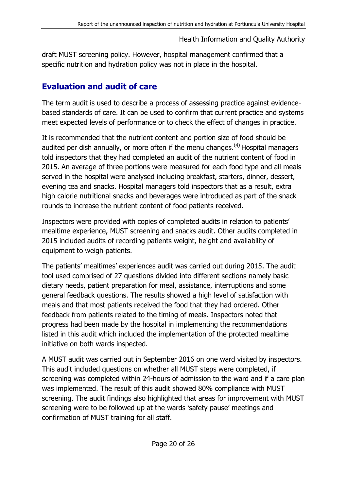draft MUST screening policy. However, hospital management confirmed that a specific nutrition and hydration policy was not in place in the hospital.

# **Evaluation and audit of care**

The term audit is used to describe a process of assessing practice against evidencebased standards of care. It can be used to confirm that current practice and systems meet expected levels of performance or to check the effect of changes in practice.

It is recommended that the nutrient content and portion size of food should be audited per dish annually, or more often if the menu changes.<sup>(4)</sup> Hospital managers told inspectors that they had completed an audit of the nutrient content of food in 2015. An average of three portions were measured for each food type and all meals served in the hospital were analysed including breakfast, starters, dinner, dessert, evening tea and snacks. Hospital managers told inspectors that as a result, extra high calorie nutritional snacks and beverages were introduced as part of the snack rounds to increase the nutrient content of food patients received.

Inspectors were provided with copies of completed audits in relation to patients' mealtime experience, MUST screening and snacks audit. Other audits completed in 2015 included audits of recording patients weight, height and availability of equipment to weigh patients.

The patients' mealtimes' experiences audit was carried out during 2015. The audit tool used comprised of 27 questions divided into different sections namely basic dietary needs, patient preparation for meal, assistance, interruptions and some general feedback questions. The results showed a high level of satisfaction with meals and that most patients received the food that they had ordered. Other feedback from patients related to the timing of meals. Inspectors noted that progress had been made by the hospital in implementing the recommendations listed in this audit which included the implementation of the protected mealtime initiative on both wards inspected.

A MUST audit was carried out in September 2016 on one ward visited by inspectors. This audit included questions on whether all MUST steps were completed, if screening was completed within 24-hours of admission to the ward and if a care plan was implemented. The result of this audit showed 80% compliance with MUST screening. The audit findings also highlighted that areas for improvement with MUST screening were to be followed up at the wards 'safety pause' meetings and confirmation of MUST training for all staff.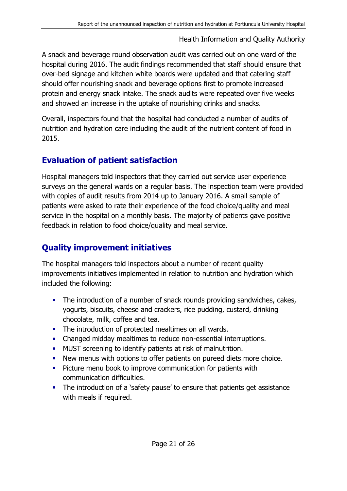A snack and beverage round observation audit was carried out on one ward of the hospital during 2016. The audit findings recommended that staff should ensure that over-bed signage and kitchen white boards were updated and that catering staff should offer nourishing snack and beverage options first to promote increased protein and energy snack intake. The snack audits were repeated over five weeks and showed an increase in the uptake of nourishing drinks and snacks.

Overall, inspectors found that the hospital had conducted a number of audits of nutrition and hydration care including the audit of the nutrient content of food in 2015.

# **Evaluation of patient satisfaction**

Hospital managers told inspectors that they carried out service user experience surveys on the general wards on a regular basis. The inspection team were provided with copies of audit results from 2014 up to January 2016. A small sample of patients were asked to rate their experience of the food choice/quality and meal service in the hospital on a monthly basis. The majority of patients gave positive feedback in relation to food choice/quality and meal service.

# **Quality improvement initiatives**

The hospital managers told inspectors about a number of recent quality improvements initiatives implemented in relation to nutrition and hydration which included the following:

- The introduction of a number of snack rounds providing sandwiches, cakes, yogurts, biscuits, cheese and crackers, rice pudding, custard, drinking chocolate, milk, coffee and tea.
- The introduction of protected mealtimes on all wards.
- Changed midday mealtimes to reduce non-essential interruptions.
- **MUST** screening to identify patients at risk of malnutrition.
- New menus with options to offer patients on pureed diets more choice.
- **Picture menu book to improve communication for patients with** communication difficulties.
- The introduction of a 'safety pause' to ensure that patients get assistance with meals if required.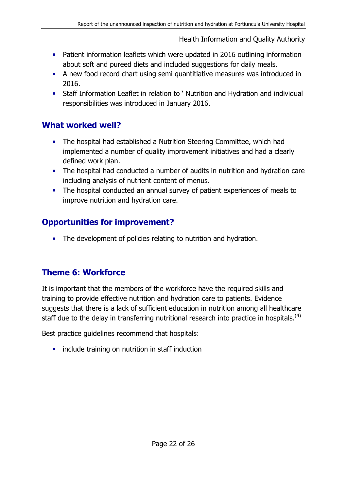- **•** Patient information leaflets which were updated in 2016 outlining information about soft and pureed diets and included suggestions for daily meals.
- A new food record chart using semi quantitiative measures was introduced in 2016.
- Staff Information Leaflet in relation to ' Nutrition and Hydration and individual responsibilities was introduced in January 2016.

#### **What worked well?**

- The hospital had established a Nutrition Steering Committee, which had implemented a number of quality improvement initiatives and had a clearly defined work plan.
- The hospital had conducted a number of audits in nutrition and hydration care including analysis of nutrient content of menus.
- The hospital conducted an annual survey of patient experiences of meals to improve nutrition and hydration care.

# **Opportunities for improvement?**

**The development of policies relating to nutrition and hydration.** 

# <span id="page-21-0"></span>**Theme 6: Workforce**

It is important that the members of the workforce have the required skills and training to provide effective nutrition and hydration care to patients. Evidence suggests that there is a lack of sufficient education in nutrition among all healthcare staff due to the delay in transferring nutritional research into practice in hospitals.<sup>(4)</sup>

Best practice guidelines recommend that hospitals:

**i** include training on nutrition in staff induction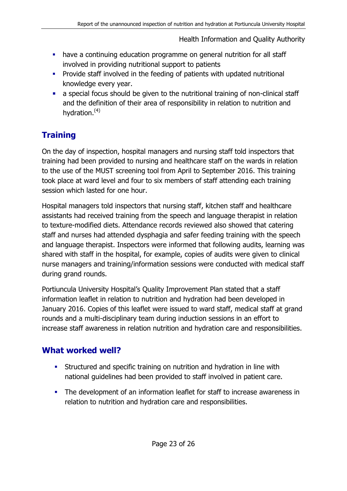- have a continuing education programme on general nutrition for all staff involved in providing nutritional support to patients
- **Provide staff involved in the feeding of patients with updated nutritional** knowledge every year.
- a special focus should be given to the nutritional training of non-clinical staff and the definition of their area of responsibility in relation to nutrition and hydration.(4)

# **Training**

On the day of inspection, hospital managers and nursing staff told inspectors that training had been provided to nursing and healthcare staff on the wards in relation to the use of the MUST screening tool from April to September 2016. This training took place at ward level and four to six members of staff attending each training session which lasted for one hour.

Hospital managers told inspectors that nursing staff, kitchen staff and healthcare assistants had received training from the speech and language therapist in relation to texture-modified diets. Attendance records reviewed also showed that catering staff and nurses had attended dysphagia and safer feeding training with the speech and language therapist. Inspectors were informed that following audits, learning was shared with staff in the hospital, for example, copies of audits were given to clinical nurse managers and training/information sessions were conducted with medical staff during grand rounds.

Portiuncula University Hospital's Quality Improvement Plan stated that a staff information leaflet in relation to nutrition and hydration had been developed in January 2016. Copies of this leaflet were issued to ward staff, medical staff at grand rounds and a multi-disciplinary team during induction sessions in an effort to increase staff awareness in relation nutrition and hydration care and responsibilities.

# **What worked well?**

- Structured and specific training on nutrition and hydration in line with national guidelines had been provided to staff involved in patient care.
- <span id="page-22-0"></span>• The development of an information leaflet for staff to increase awareness in relation to nutrition and hydration care and responsibilities.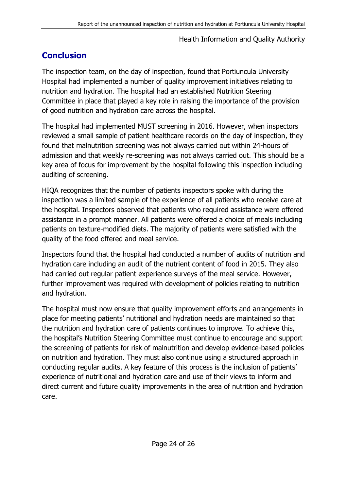# **Conclusion**

The inspection team, on the day of inspection, found that Portiuncula University Hospital had implemented a number of quality improvement initiatives relating to nutrition and hydration. The hospital had an established Nutrition Steering Committee in place that played a key role in raising the importance of the provision of good nutrition and hydration care across the hospital.

The hospital had implemented MUST screening in 2016. However, when inspectors reviewed a small sample of patient healthcare records on the day of inspection, they found that malnutrition screening was not always carried out within 24-hours of admission and that weekly re-screening was not always carried out. This should be a key area of focus for improvement by the hospital following this inspection including auditing of screening.

HIQA recognizes that the number of patients inspectors spoke with during the inspection was a limited sample of the experience of all patients who receive care at the hospital. Inspectors observed that patients who required assistance were offered assistance in a prompt manner. All patients were offered a choice of meals including patients on texture-modified diets. The majority of patients were satisfied with the quality of the food offered and meal service.

Inspectors found that the hospital had conducted a number of audits of nutrition and hydration care including an audit of the nutrient content of food in 2015. They also had carried out regular patient experience surveys of the meal service. However, further improvement was required with development of policies relating to nutrition and hydration.

The hospital must now ensure that quality improvement efforts and arrangements in place for meeting patients' nutritional and hydration needs are maintained so that the nutrition and hydration care of patients continues to improve. To achieve this, the hospital's Nutrition Steering Committee must continue to encourage and support the screening of patients for risk of malnutrition and develop evidence-based policies on nutrition and hydration. They must also continue using a structured approach in conducting regular audits. A key feature of this process is the inclusion of patients' experience of nutritional and hydration care and use of their views to inform and direct current and future quality improvements in the area of nutrition and hydration care.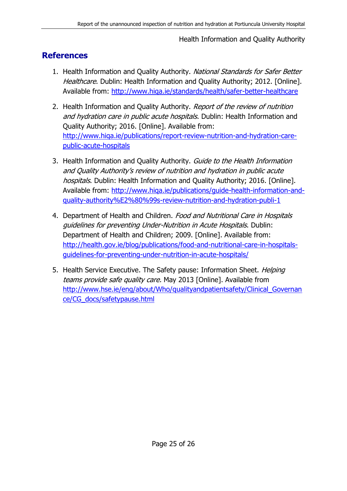### <span id="page-24-0"></span>**References**

- 1. Health Information and Quality Authority. National Standards for Safer Better Healthcare. Dublin: Health Information and Quality Authority; 2012. [Online]. Available from:<http://www.hiqa.ie/standards/health/safer-better-healthcare>
- 2. Health Information and Quality Authority. Report of the review of nutrition and hydration care in public acute hospitals. Dublin: Health Information and Quality Authority; 2016. [Online]. Available from: [http://www.hiqa.ie/publications/report-review-nutrition-and-hydration-care](http://www.hiqa.ie/publications/report-review-nutrition-and-hydration-care-public-acute-hospitals)[public-acute-hospitals](http://www.hiqa.ie/publications/report-review-nutrition-and-hydration-care-public-acute-hospitals)
- 3. Health Information and Quality Authority. Guide to the Health Information and Quality Authority's review of nutrition and hydration in public acute hospitals. Dublin: Health Information and Quality Authority; 2016. [Online]. Available from: [http://www.hiqa.ie/publications/guide-health-information-and](http://www.hiqa.ie/publications/guide-health-information-and-quality-authority%E2%80%99s-review-nutrition-and-hydration-publi-1)[quality-authority%E2%80%99s-review-nutrition-and-hydration-publi-1](http://www.hiqa.ie/publications/guide-health-information-and-quality-authority%E2%80%99s-review-nutrition-and-hydration-publi-1)
- 4. Department of Health and Children. Food and Nutritional Care in Hospitals guidelines for preventing Under-Nutrition in Acute Hospitals. Dublin: Department of Health and Children; 2009. [Online]. Available from: [http://health.gov.ie/blog/publications/food-and-nutritional-care-in-hospitals](http://health.gov.ie/blog/publications/food-and-nutritional-care-in-hospitals-guidelines-for-preventing-under-nutrition-in-acute-hospitals/)[guidelines-for-preventing-under-nutrition-in-acute-hospitals/](http://health.gov.ie/blog/publications/food-and-nutritional-care-in-hospitals-guidelines-for-preventing-under-nutrition-in-acute-hospitals/)
- 5. Health Service Executive. The Safety pause: Information Sheet. *Helping* teams provide safe quality care. May 2013 [Online]. Available from [http://www.hse.ie/eng/about/Who/qualityandpatientsafety/Clinical\\_Governan](http://www.hse.ie/eng/about/Who/qualityandpatientsafety/Clinical_Governance/CG_docs/safetypause.html) [ce/CG\\_docs/safetypause.html](http://www.hse.ie/eng/about/Who/qualityandpatientsafety/Clinical_Governance/CG_docs/safetypause.html)